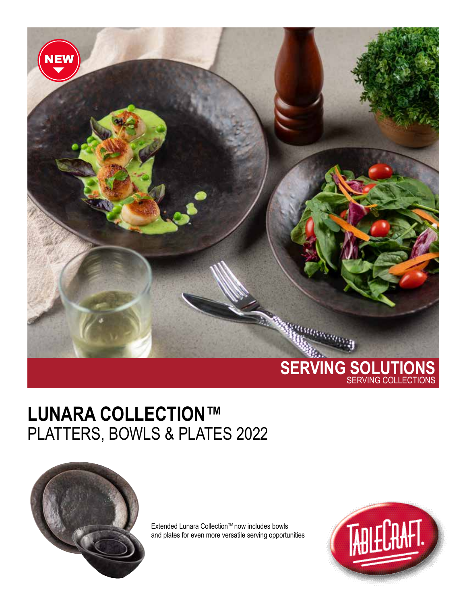

## **LUNARA COLLECTION™** PLATTERS, BOWLS & PLATES 2022



Extended Lunara Collection™ now includes bowls and plates for even more versatile serving opportunities